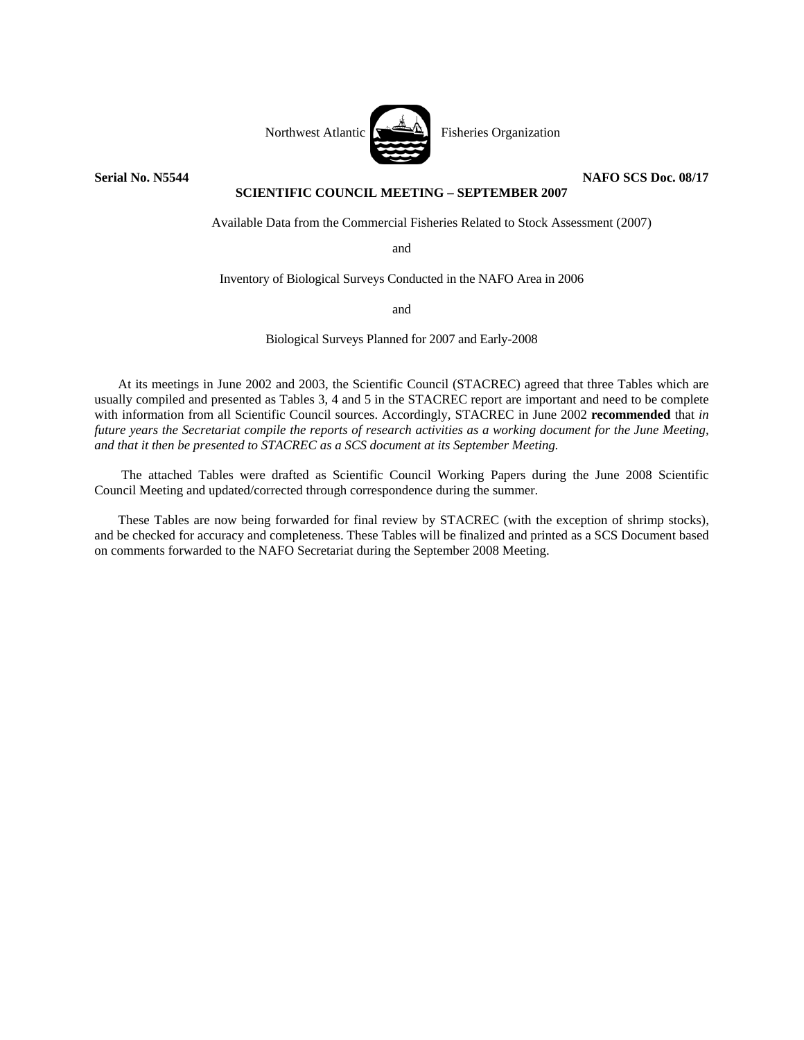

**Serial No. N5544** NAFO SCS Doc. 08/17

## **SCIENTIFIC COUNCIL MEETING – SEPTEMBER 2007**

Available Data from the Commercial Fisheries Related to Stock Assessment (2007)

and

Inventory of Biological Surveys Conducted in the NAFO Area in 2006

and

Biological Surveys Planned for 2007 and Early-2008

At its meetings in June 2002 and 2003, the Scientific Council (STACREC) agreed that three Tables which are usually compiled and presented as Tables 3, 4 and 5 in the STACREC report are important and need to be complete with information from all Scientific Council sources. Accordingly, STACREC in June 2002 **recommended** that *in future years the Secretariat compile the reports of research activities as a working document for the June Meeting, and that it then be presented to STACREC as a SCS document at its September Meeting.*

 The attached Tables were drafted as Scientific Council Working Papers during the June 2008 Scientific Council Meeting and updated/corrected through correspondence during the summer.

These Tables are now being forwarded for final review by STACREC (with the exception of shrimp stocks), and be checked for accuracy and completeness. These Tables will be finalized and printed as a SCS Document based on comments forwarded to the NAFO Secretariat during the September 2008 Meeting.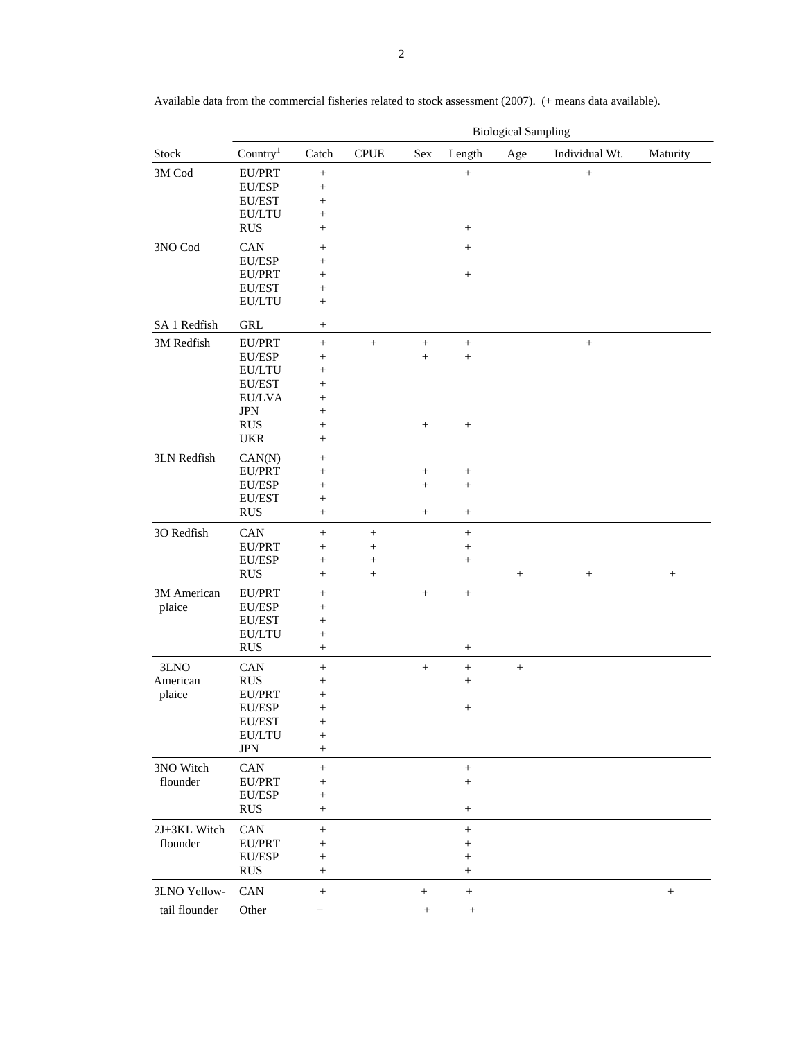| Country <sup>1</sup><br>Catch<br><b>CPUE</b><br>${\rm Length}$<br>Individual Wt.<br>Maturity<br>Sex<br>Age<br>EU/PRT<br>$^{+}$<br>$\boldsymbol{+}$<br>EU/ESP<br>$^{+}$<br>EU/EST<br>$^{+}$<br>EU/LTU<br>$^+$<br><b>RUS</b><br>$^{+}$<br>$^{+}$<br>CAN<br>$\! +$<br>$\! + \!\!\!\!$<br>EU/ESP<br>$^{+}$<br>EU/PRT<br>$^{+}$<br>$^{+}$<br>EU/EST<br>$^+$<br>EU/LTU<br>$^{+}$<br>GRL<br>$^{+}$<br>EU/PRT<br>$\boldsymbol{+}$<br>$^{+}$<br>EU/ESP<br>$^{+}$<br>$^{+}$<br>$^+$<br>EU/LTU<br>$^+$<br>EU/EST<br>$^+$<br>EU/LVA<br>$^+$<br><b>JPN</b><br>$\hspace{0.1mm} +$<br><b>RUS</b><br>$^{+}$<br>$\! + \!\!\!\!$<br><b>UKR</b><br>$^{+}$<br>3LN Redfish<br>CAN(N)<br>$^{+}$<br>EU/PRT<br>$^{+}$<br>$^+$<br>$^{+}$<br>EU/ESP<br>$\! + \!\!\!\!$<br>$^+$<br>EU/EST<br>$^+$<br><b>RUS</b><br>$^{+}$<br>3O Redfish<br>CAN<br>$^{+}$<br>$\! + \!\!\!\!$<br>$\! + \!\!\!\!$<br>EU/PRT<br>$^{+}$<br>$^{+}$<br>$^+$<br>EU/ESP<br>$\! + \!\!\!\!$<br>$\! + \!\!\!\!$<br>$^+$<br><b>RUS</b><br>$\! + \!\!\!\!$<br>$^{+}$<br>$^{+}$<br>$^{+}$<br>3M American<br>EU/PRT<br>$\ddot{}$<br>$\! +$<br>$^{+}$<br>plaice<br>EU/ESP<br>$^+$<br>EU/EST<br>$\hspace{0.1mm} +$<br>EU/LTU<br>$^{+}$<br><b>RUS</b><br>$^{+}$<br>$^{+}$<br>3LNO<br>CAN<br>$^+$<br>$^{+}$<br>$^{+}$<br>American<br><b>RUS</b><br>$\! + \!\!\!\!$<br>$^+$<br>plaice<br>EU/PRT<br>$^{+}$<br>EU/ESP<br>$+$<br>$^+$<br>EU/EST<br>$^{+}$<br>EU/LTU<br>$^+$<br>$_{\mathrm{JPN}}$<br>$^{+}$<br>3NO Witch<br>CAN<br>$^+$<br>$\! + \!\!\!\!$<br>flounder<br>EU/PRT<br>$^{+}$<br>$^+$<br>EU/ESP<br>$\hspace{0.1mm} +$<br><b>RUS</b><br>$\! + \!\!\!\!$<br>$^{+}$<br>2J+3KL Witch<br>CAN<br>$^+$<br>$\! + \!\!\!\!$<br>flounder<br>EU/PRT<br>$^{+}$<br>$\hspace{0.1mm} +$<br>EU/ESP<br>$\! +$<br>$\hspace{0.1mm} +$<br><b>RUS</b><br>$^{+}$<br>CAN<br>$^+$<br>$\! + \!\!\!\!$<br>$\! + \!\!\!\!$<br>$\! + \!\!\!\!$<br>tail flounder<br>Other<br>$^{+}$<br>$\begin{array}{c} + \end{array}$<br>$^{+}$ |              | <b>Biological Sampling</b> |  |  |  |  |  |
|------------------------------------------------------------------------------------------------------------------------------------------------------------------------------------------------------------------------------------------------------------------------------------------------------------------------------------------------------------------------------------------------------------------------------------------------------------------------------------------------------------------------------------------------------------------------------------------------------------------------------------------------------------------------------------------------------------------------------------------------------------------------------------------------------------------------------------------------------------------------------------------------------------------------------------------------------------------------------------------------------------------------------------------------------------------------------------------------------------------------------------------------------------------------------------------------------------------------------------------------------------------------------------------------------------------------------------------------------------------------------------------------------------------------------------------------------------------------------------------------------------------------------------------------------------------------------------------------------------------------------------------------------------------------------------------------------------------------------------------------------------------------------------------------------------------------------------------------------------------------------------------------------------------------------------------------|--------------|----------------------------|--|--|--|--|--|
|                                                                                                                                                                                                                                                                                                                                                                                                                                                                                                                                                                                                                                                                                                                                                                                                                                                                                                                                                                                                                                                                                                                                                                                                                                                                                                                                                                                                                                                                                                                                                                                                                                                                                                                                                                                                                                                                                                                                                | Stock        |                            |  |  |  |  |  |
|                                                                                                                                                                                                                                                                                                                                                                                                                                                                                                                                                                                                                                                                                                                                                                                                                                                                                                                                                                                                                                                                                                                                                                                                                                                                                                                                                                                                                                                                                                                                                                                                                                                                                                                                                                                                                                                                                                                                                | 3M Cod       |                            |  |  |  |  |  |
|                                                                                                                                                                                                                                                                                                                                                                                                                                                                                                                                                                                                                                                                                                                                                                                                                                                                                                                                                                                                                                                                                                                                                                                                                                                                                                                                                                                                                                                                                                                                                                                                                                                                                                                                                                                                                                                                                                                                                |              |                            |  |  |  |  |  |
|                                                                                                                                                                                                                                                                                                                                                                                                                                                                                                                                                                                                                                                                                                                                                                                                                                                                                                                                                                                                                                                                                                                                                                                                                                                                                                                                                                                                                                                                                                                                                                                                                                                                                                                                                                                                                                                                                                                                                |              |                            |  |  |  |  |  |
|                                                                                                                                                                                                                                                                                                                                                                                                                                                                                                                                                                                                                                                                                                                                                                                                                                                                                                                                                                                                                                                                                                                                                                                                                                                                                                                                                                                                                                                                                                                                                                                                                                                                                                                                                                                                                                                                                                                                                |              |                            |  |  |  |  |  |
|                                                                                                                                                                                                                                                                                                                                                                                                                                                                                                                                                                                                                                                                                                                                                                                                                                                                                                                                                                                                                                                                                                                                                                                                                                                                                                                                                                                                                                                                                                                                                                                                                                                                                                                                                                                                                                                                                                                                                |              |                            |  |  |  |  |  |
|                                                                                                                                                                                                                                                                                                                                                                                                                                                                                                                                                                                                                                                                                                                                                                                                                                                                                                                                                                                                                                                                                                                                                                                                                                                                                                                                                                                                                                                                                                                                                                                                                                                                                                                                                                                                                                                                                                                                                | 3NO Cod      |                            |  |  |  |  |  |
|                                                                                                                                                                                                                                                                                                                                                                                                                                                                                                                                                                                                                                                                                                                                                                                                                                                                                                                                                                                                                                                                                                                                                                                                                                                                                                                                                                                                                                                                                                                                                                                                                                                                                                                                                                                                                                                                                                                                                |              |                            |  |  |  |  |  |
|                                                                                                                                                                                                                                                                                                                                                                                                                                                                                                                                                                                                                                                                                                                                                                                                                                                                                                                                                                                                                                                                                                                                                                                                                                                                                                                                                                                                                                                                                                                                                                                                                                                                                                                                                                                                                                                                                                                                                |              |                            |  |  |  |  |  |
|                                                                                                                                                                                                                                                                                                                                                                                                                                                                                                                                                                                                                                                                                                                                                                                                                                                                                                                                                                                                                                                                                                                                                                                                                                                                                                                                                                                                                                                                                                                                                                                                                                                                                                                                                                                                                                                                                                                                                |              |                            |  |  |  |  |  |
|                                                                                                                                                                                                                                                                                                                                                                                                                                                                                                                                                                                                                                                                                                                                                                                                                                                                                                                                                                                                                                                                                                                                                                                                                                                                                                                                                                                                                                                                                                                                                                                                                                                                                                                                                                                                                                                                                                                                                |              |                            |  |  |  |  |  |
|                                                                                                                                                                                                                                                                                                                                                                                                                                                                                                                                                                                                                                                                                                                                                                                                                                                                                                                                                                                                                                                                                                                                                                                                                                                                                                                                                                                                                                                                                                                                                                                                                                                                                                                                                                                                                                                                                                                                                | SA 1 Redfish |                            |  |  |  |  |  |
|                                                                                                                                                                                                                                                                                                                                                                                                                                                                                                                                                                                                                                                                                                                                                                                                                                                                                                                                                                                                                                                                                                                                                                                                                                                                                                                                                                                                                                                                                                                                                                                                                                                                                                                                                                                                                                                                                                                                                | 3M Redfish   |                            |  |  |  |  |  |
|                                                                                                                                                                                                                                                                                                                                                                                                                                                                                                                                                                                                                                                                                                                                                                                                                                                                                                                                                                                                                                                                                                                                                                                                                                                                                                                                                                                                                                                                                                                                                                                                                                                                                                                                                                                                                                                                                                                                                |              |                            |  |  |  |  |  |
|                                                                                                                                                                                                                                                                                                                                                                                                                                                                                                                                                                                                                                                                                                                                                                                                                                                                                                                                                                                                                                                                                                                                                                                                                                                                                                                                                                                                                                                                                                                                                                                                                                                                                                                                                                                                                                                                                                                                                |              |                            |  |  |  |  |  |
|                                                                                                                                                                                                                                                                                                                                                                                                                                                                                                                                                                                                                                                                                                                                                                                                                                                                                                                                                                                                                                                                                                                                                                                                                                                                                                                                                                                                                                                                                                                                                                                                                                                                                                                                                                                                                                                                                                                                                |              |                            |  |  |  |  |  |
|                                                                                                                                                                                                                                                                                                                                                                                                                                                                                                                                                                                                                                                                                                                                                                                                                                                                                                                                                                                                                                                                                                                                                                                                                                                                                                                                                                                                                                                                                                                                                                                                                                                                                                                                                                                                                                                                                                                                                |              |                            |  |  |  |  |  |
|                                                                                                                                                                                                                                                                                                                                                                                                                                                                                                                                                                                                                                                                                                                                                                                                                                                                                                                                                                                                                                                                                                                                                                                                                                                                                                                                                                                                                                                                                                                                                                                                                                                                                                                                                                                                                                                                                                                                                |              |                            |  |  |  |  |  |
|                                                                                                                                                                                                                                                                                                                                                                                                                                                                                                                                                                                                                                                                                                                                                                                                                                                                                                                                                                                                                                                                                                                                                                                                                                                                                                                                                                                                                                                                                                                                                                                                                                                                                                                                                                                                                                                                                                                                                |              |                            |  |  |  |  |  |
|                                                                                                                                                                                                                                                                                                                                                                                                                                                                                                                                                                                                                                                                                                                                                                                                                                                                                                                                                                                                                                                                                                                                                                                                                                                                                                                                                                                                                                                                                                                                                                                                                                                                                                                                                                                                                                                                                                                                                |              |                            |  |  |  |  |  |
|                                                                                                                                                                                                                                                                                                                                                                                                                                                                                                                                                                                                                                                                                                                                                                                                                                                                                                                                                                                                                                                                                                                                                                                                                                                                                                                                                                                                                                                                                                                                                                                                                                                                                                                                                                                                                                                                                                                                                |              |                            |  |  |  |  |  |
|                                                                                                                                                                                                                                                                                                                                                                                                                                                                                                                                                                                                                                                                                                                                                                                                                                                                                                                                                                                                                                                                                                                                                                                                                                                                                                                                                                                                                                                                                                                                                                                                                                                                                                                                                                                                                                                                                                                                                |              |                            |  |  |  |  |  |
|                                                                                                                                                                                                                                                                                                                                                                                                                                                                                                                                                                                                                                                                                                                                                                                                                                                                                                                                                                                                                                                                                                                                                                                                                                                                                                                                                                                                                                                                                                                                                                                                                                                                                                                                                                                                                                                                                                                                                |              |                            |  |  |  |  |  |
|                                                                                                                                                                                                                                                                                                                                                                                                                                                                                                                                                                                                                                                                                                                                                                                                                                                                                                                                                                                                                                                                                                                                                                                                                                                                                                                                                                                                                                                                                                                                                                                                                                                                                                                                                                                                                                                                                                                                                |              |                            |  |  |  |  |  |
|                                                                                                                                                                                                                                                                                                                                                                                                                                                                                                                                                                                                                                                                                                                                                                                                                                                                                                                                                                                                                                                                                                                                                                                                                                                                                                                                                                                                                                                                                                                                                                                                                                                                                                                                                                                                                                                                                                                                                |              |                            |  |  |  |  |  |
|                                                                                                                                                                                                                                                                                                                                                                                                                                                                                                                                                                                                                                                                                                                                                                                                                                                                                                                                                                                                                                                                                                                                                                                                                                                                                                                                                                                                                                                                                                                                                                                                                                                                                                                                                                                                                                                                                                                                                |              |                            |  |  |  |  |  |
|                                                                                                                                                                                                                                                                                                                                                                                                                                                                                                                                                                                                                                                                                                                                                                                                                                                                                                                                                                                                                                                                                                                                                                                                                                                                                                                                                                                                                                                                                                                                                                                                                                                                                                                                                                                                                                                                                                                                                |              |                            |  |  |  |  |  |
|                                                                                                                                                                                                                                                                                                                                                                                                                                                                                                                                                                                                                                                                                                                                                                                                                                                                                                                                                                                                                                                                                                                                                                                                                                                                                                                                                                                                                                                                                                                                                                                                                                                                                                                                                                                                                                                                                                                                                |              |                            |  |  |  |  |  |
|                                                                                                                                                                                                                                                                                                                                                                                                                                                                                                                                                                                                                                                                                                                                                                                                                                                                                                                                                                                                                                                                                                                                                                                                                                                                                                                                                                                                                                                                                                                                                                                                                                                                                                                                                                                                                                                                                                                                                |              |                            |  |  |  |  |  |
|                                                                                                                                                                                                                                                                                                                                                                                                                                                                                                                                                                                                                                                                                                                                                                                                                                                                                                                                                                                                                                                                                                                                                                                                                                                                                                                                                                                                                                                                                                                                                                                                                                                                                                                                                                                                                                                                                                                                                |              |                            |  |  |  |  |  |
|                                                                                                                                                                                                                                                                                                                                                                                                                                                                                                                                                                                                                                                                                                                                                                                                                                                                                                                                                                                                                                                                                                                                                                                                                                                                                                                                                                                                                                                                                                                                                                                                                                                                                                                                                                                                                                                                                                                                                |              |                            |  |  |  |  |  |
|                                                                                                                                                                                                                                                                                                                                                                                                                                                                                                                                                                                                                                                                                                                                                                                                                                                                                                                                                                                                                                                                                                                                                                                                                                                                                                                                                                                                                                                                                                                                                                                                                                                                                                                                                                                                                                                                                                                                                |              |                            |  |  |  |  |  |
|                                                                                                                                                                                                                                                                                                                                                                                                                                                                                                                                                                                                                                                                                                                                                                                                                                                                                                                                                                                                                                                                                                                                                                                                                                                                                                                                                                                                                                                                                                                                                                                                                                                                                                                                                                                                                                                                                                                                                |              |                            |  |  |  |  |  |
|                                                                                                                                                                                                                                                                                                                                                                                                                                                                                                                                                                                                                                                                                                                                                                                                                                                                                                                                                                                                                                                                                                                                                                                                                                                                                                                                                                                                                                                                                                                                                                                                                                                                                                                                                                                                                                                                                                                                                |              |                            |  |  |  |  |  |
|                                                                                                                                                                                                                                                                                                                                                                                                                                                                                                                                                                                                                                                                                                                                                                                                                                                                                                                                                                                                                                                                                                                                                                                                                                                                                                                                                                                                                                                                                                                                                                                                                                                                                                                                                                                                                                                                                                                                                |              |                            |  |  |  |  |  |
|                                                                                                                                                                                                                                                                                                                                                                                                                                                                                                                                                                                                                                                                                                                                                                                                                                                                                                                                                                                                                                                                                                                                                                                                                                                                                                                                                                                                                                                                                                                                                                                                                                                                                                                                                                                                                                                                                                                                                |              |                            |  |  |  |  |  |
|                                                                                                                                                                                                                                                                                                                                                                                                                                                                                                                                                                                                                                                                                                                                                                                                                                                                                                                                                                                                                                                                                                                                                                                                                                                                                                                                                                                                                                                                                                                                                                                                                                                                                                                                                                                                                                                                                                                                                |              |                            |  |  |  |  |  |
|                                                                                                                                                                                                                                                                                                                                                                                                                                                                                                                                                                                                                                                                                                                                                                                                                                                                                                                                                                                                                                                                                                                                                                                                                                                                                                                                                                                                                                                                                                                                                                                                                                                                                                                                                                                                                                                                                                                                                |              |                            |  |  |  |  |  |
|                                                                                                                                                                                                                                                                                                                                                                                                                                                                                                                                                                                                                                                                                                                                                                                                                                                                                                                                                                                                                                                                                                                                                                                                                                                                                                                                                                                                                                                                                                                                                                                                                                                                                                                                                                                                                                                                                                                                                |              |                            |  |  |  |  |  |
|                                                                                                                                                                                                                                                                                                                                                                                                                                                                                                                                                                                                                                                                                                                                                                                                                                                                                                                                                                                                                                                                                                                                                                                                                                                                                                                                                                                                                                                                                                                                                                                                                                                                                                                                                                                                                                                                                                                                                |              |                            |  |  |  |  |  |
|                                                                                                                                                                                                                                                                                                                                                                                                                                                                                                                                                                                                                                                                                                                                                                                                                                                                                                                                                                                                                                                                                                                                                                                                                                                                                                                                                                                                                                                                                                                                                                                                                                                                                                                                                                                                                                                                                                                                                |              |                            |  |  |  |  |  |
|                                                                                                                                                                                                                                                                                                                                                                                                                                                                                                                                                                                                                                                                                                                                                                                                                                                                                                                                                                                                                                                                                                                                                                                                                                                                                                                                                                                                                                                                                                                                                                                                                                                                                                                                                                                                                                                                                                                                                |              |                            |  |  |  |  |  |
|                                                                                                                                                                                                                                                                                                                                                                                                                                                                                                                                                                                                                                                                                                                                                                                                                                                                                                                                                                                                                                                                                                                                                                                                                                                                                                                                                                                                                                                                                                                                                                                                                                                                                                                                                                                                                                                                                                                                                |              |                            |  |  |  |  |  |
|                                                                                                                                                                                                                                                                                                                                                                                                                                                                                                                                                                                                                                                                                                                                                                                                                                                                                                                                                                                                                                                                                                                                                                                                                                                                                                                                                                                                                                                                                                                                                                                                                                                                                                                                                                                                                                                                                                                                                |              |                            |  |  |  |  |  |
|                                                                                                                                                                                                                                                                                                                                                                                                                                                                                                                                                                                                                                                                                                                                                                                                                                                                                                                                                                                                                                                                                                                                                                                                                                                                                                                                                                                                                                                                                                                                                                                                                                                                                                                                                                                                                                                                                                                                                |              |                            |  |  |  |  |  |
|                                                                                                                                                                                                                                                                                                                                                                                                                                                                                                                                                                                                                                                                                                                                                                                                                                                                                                                                                                                                                                                                                                                                                                                                                                                                                                                                                                                                                                                                                                                                                                                                                                                                                                                                                                                                                                                                                                                                                |              |                            |  |  |  |  |  |
|                                                                                                                                                                                                                                                                                                                                                                                                                                                                                                                                                                                                                                                                                                                                                                                                                                                                                                                                                                                                                                                                                                                                                                                                                                                                                                                                                                                                                                                                                                                                                                                                                                                                                                                                                                                                                                                                                                                                                |              |                            |  |  |  |  |  |
|                                                                                                                                                                                                                                                                                                                                                                                                                                                                                                                                                                                                                                                                                                                                                                                                                                                                                                                                                                                                                                                                                                                                                                                                                                                                                                                                                                                                                                                                                                                                                                                                                                                                                                                                                                                                                                                                                                                                                |              |                            |  |  |  |  |  |
|                                                                                                                                                                                                                                                                                                                                                                                                                                                                                                                                                                                                                                                                                                                                                                                                                                                                                                                                                                                                                                                                                                                                                                                                                                                                                                                                                                                                                                                                                                                                                                                                                                                                                                                                                                                                                                                                                                                                                | 3LNO Yellow- |                            |  |  |  |  |  |
|                                                                                                                                                                                                                                                                                                                                                                                                                                                                                                                                                                                                                                                                                                                                                                                                                                                                                                                                                                                                                                                                                                                                                                                                                                                                                                                                                                                                                                                                                                                                                                                                                                                                                                                                                                                                                                                                                                                                                |              |                            |  |  |  |  |  |

Available data from the commercial fisheries related to stock assessment (2007). (+ means data available).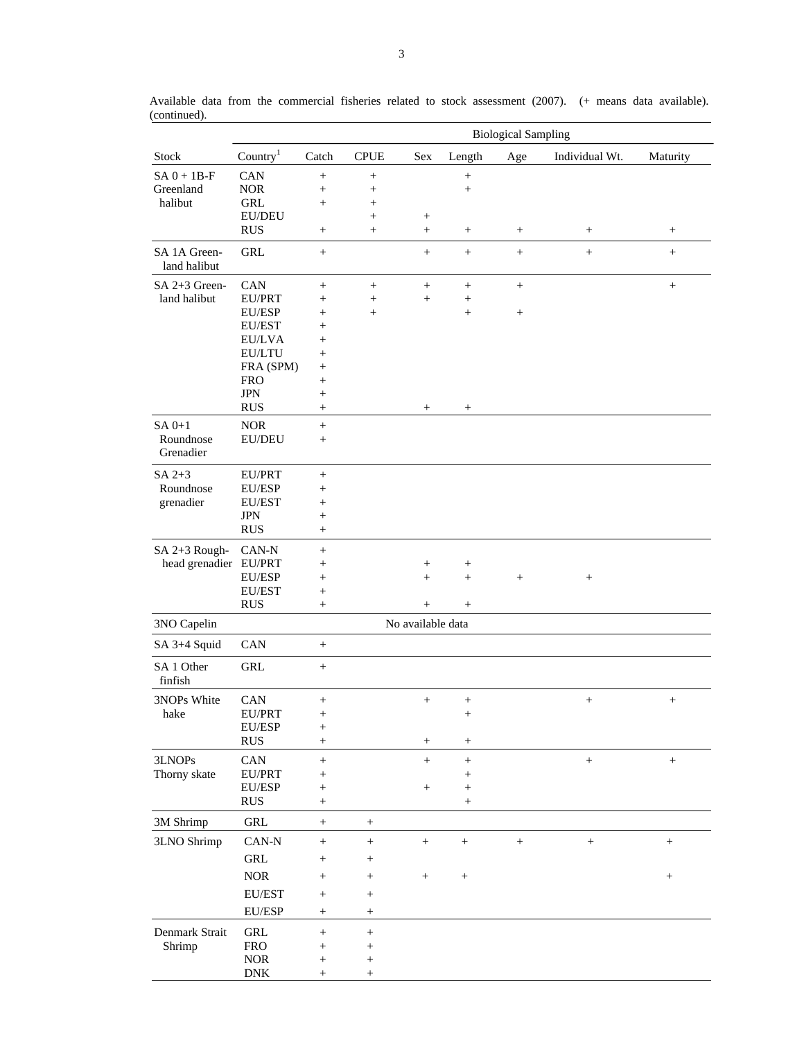|                              |                             | <b>Biological Sampling</b>       |                 |                   |                 |                  |                 |                   |
|------------------------------|-----------------------------|----------------------------------|-----------------|-------------------|-----------------|------------------|-----------------|-------------------|
| Stock                        | Country <sup>1</sup>        | Catch                            | <b>CPUE</b>     | Sex               | Length          | Age              | Individual Wt.  | Maturity          |
| $SA 0 + 1B-F$                | CAN                         | $\! + \!\!\!\!$                  | $\! + \!\!\!\!$ |                   | $\! + \!\!\!\!$ |                  |                 |                   |
| Greenland                    | <b>NOR</b>                  | $\! + \!\!\!\!$                  | $\! + \!\!\!\!$ |                   | $^{+}$          |                  |                 |                   |
| halibut                      | <b>GRL</b>                  | $\! + \!\!\!\!$                  | $\! + \!\!\!\!$ |                   |                 |                  |                 |                   |
|                              | EU/DEU                      |                                  | $\! + \!\!\!\!$ | $\! + \!\!\!\!$   |                 |                  |                 |                   |
|                              | <b>RUS</b>                  | $\! + \!\!\!\!$                  | $\! + \!\!\!\!$ | $^{+}$            | $^+$            | $\! + \!\!\!\!$  | $\! + \!\!\!\!$ | $+$               |
| SA 1A Green-<br>land halibut | <b>GRL</b>                  | $+$                              |                 | $^{+}$            |                 | $^{+}$           | $\ddot{}$       | $+$               |
| SA 2+3 Green-                | CAN                         | $+$                              | $\! + \!\!\!\!$ | $\! + \!\!\!\!$   | $^{+}$          | $\boldsymbol{+}$ |                 | $^+$              |
| land halibut                 | EU/PRT                      | $^{+}$                           | $^{+}$          | $^{+}$            | $\! + \!\!\!\!$ |                  |                 |                   |
|                              | EU/ESP                      | $^{+}$                           | $\! + \!\!\!\!$ |                   | $\! + \!\!\!\!$ | $\! + \!\!\!\!$  |                 |                   |
|                              | EU/EST                      | $^{+}$                           |                 |                   |                 |                  |                 |                   |
|                              | EU/LVA                      | $^{+}$                           |                 |                   |                 |                  |                 |                   |
|                              | <b>EU/LTU</b>               | $^+$                             |                 |                   |                 |                  |                 |                   |
|                              | FRA (SPM)                   | $\! + \!\!\!\!$                  |                 |                   |                 |                  |                 |                   |
|                              | <b>FRO</b>                  | $^{+}$                           |                 |                   |                 |                  |                 |                   |
|                              | <b>JPN</b>                  | $^{+}$                           |                 |                   |                 |                  |                 |                   |
|                              | <b>RUS</b>                  | $\! + \!\!\!\!$                  |                 | $^+$              | $^{+}$          |                  |                 |                   |
| $SA$ $0+1$<br>Roundnose      | <b>NOR</b><br><b>EU/DEU</b> | $+$<br>$\! + \!\!\!\!$           |                 |                   |                 |                  |                 |                   |
| Grenadier                    |                             |                                  |                 |                   |                 |                  |                 |                   |
| $SA$ $2+3$                   | EU/PRT                      | $\! + \!\!\!\!$                  |                 |                   |                 |                  |                 |                   |
| Roundnose                    | EU/ESP                      | $\! + \!\!\!\!$                  |                 |                   |                 |                  |                 |                   |
| grenadier                    | EU/EST                      | $^{+}$                           |                 |                   |                 |                  |                 |                   |
|                              | <b>JPN</b>                  | $\! + \!\!\!\!$                  |                 |                   |                 |                  |                 |                   |
|                              | <b>RUS</b>                  | $^{+}$                           |                 |                   |                 |                  |                 |                   |
| SA 2+3 Rough-                | CAN-N                       | $\! + \!\!\!\!$                  |                 |                   |                 |                  |                 |                   |
| head grenadier EU/PRT        |                             | $^{+}$                           |                 | $^{+}$            | $^{+}$          |                  |                 |                   |
|                              | EU/ESP                      | $^{+}$                           |                 | $^{+}$            | $\ddot{}$       | $\! + \!\!\!\!$  |                 |                   |
|                              | EU/EST                      | $^{+}$                           |                 |                   |                 |                  |                 |                   |
|                              | <b>RUS</b>                  | $\! + \!\!\!\!$                  |                 | $^{+}$            | $\! + \!\!\!\!$ |                  |                 |                   |
| 3NO Capelin                  |                             |                                  |                 | No available data |                 |                  |                 |                   |
| SA 3+4 Squid                 | CAN                         | $\! + \!\!\!\!$                  |                 |                   |                 |                  |                 |                   |
| SA 1 Other<br>finfish        | <b>GRL</b>                  | $\! + \!\!\!\!$                  |                 |                   |                 |                  |                 |                   |
| 3NOPs White                  | CAN                         | $\! + \!\!\!\!$                  |                 | $^{+}$            |                 |                  | $\! + \!\!\!\!$ | $\! + \!\!\!\!$   |
| hake                         | EU/PRT                      |                                  |                 |                   | $^+$            |                  |                 |                   |
|                              | EU/ESP                      | $\! + \!\!\!\!$                  |                 |                   |                 |                  |                 |                   |
|                              | <b>RUS</b>                  | $+$                              |                 | $^{+}$            | $\! +$          |                  |                 |                   |
| 3LNOPs                       | CAN                         | $^{+}$                           |                 | $^{+}$            | $^{+}$          |                  | $^{+}$          | $\qquad \qquad +$ |
| Thorny skate                 | EU/PRT                      | $^{+}$                           |                 |                   |                 |                  |                 |                   |
|                              | EU/ESP                      | $\! + \!\!\!\!$                  |                 | $^{+}$            | $^{+}$          |                  |                 |                   |
|                              | <b>RUS</b>                  | $\! + \!\!\!\!$                  |                 |                   | $^+$            |                  |                 |                   |
| 3M Shrimp                    | GRL                         | $\! + \!\!\!\!$                  | $\! + \!\!\!\!$ |                   |                 |                  |                 |                   |
| 3LNO Shrimp                  | $CAN-N$                     | $\begin{array}{c} + \end{array}$ | $\! + \!\!\!\!$ | $\! + \!\!\!\!$   | $\! + \!\!\!\!$ | $\! + \!\!\!\!$  | $\! + \!\!\!\!$ | $^{+}$            |
|                              | GRL                         | $\! + \!\!\!\!$                  | $^{+}$          |                   |                 |                  |                 |                   |
|                              | $\rm{NOR}$                  | $\! + \!\!\!\!$                  | $\! + \!\!\!\!$ | $\! + \!\!\!\!$   | $\! + \!\!\!\!$ |                  |                 | $\! + \!\!\!\!$   |
|                              | EU/EST                      | $\! + \!\!\!\!$                  | $^{+}$          |                   |                 |                  |                 |                   |
|                              | EU/ESP                      |                                  |                 |                   |                 |                  |                 |                   |
|                              |                             | $^{+}$                           | $\! + \!\!\!\!$ |                   |                 |                  |                 |                   |
| Denmark Strait               | GRL                         | $\! + \!\!\!\!$                  | $\! + \!\!\!\!$ |                   |                 |                  |                 |                   |
| Shrimp                       | <b>FRO</b>                  | $^{+}$                           | $^{+}$          |                   |                 |                  |                 |                   |
|                              | <b>NOR</b>                  | $^{+}$                           | $^{+}$          |                   |                 |                  |                 |                   |
|                              | ${\rm DNK}$                 | $\! + \!\!\!\!$                  | $\! + \!\!\!\!$ |                   |                 |                  |                 |                   |

Available data from the commercial fisheries related to stock assessment (2007). (+ means data available). (continued).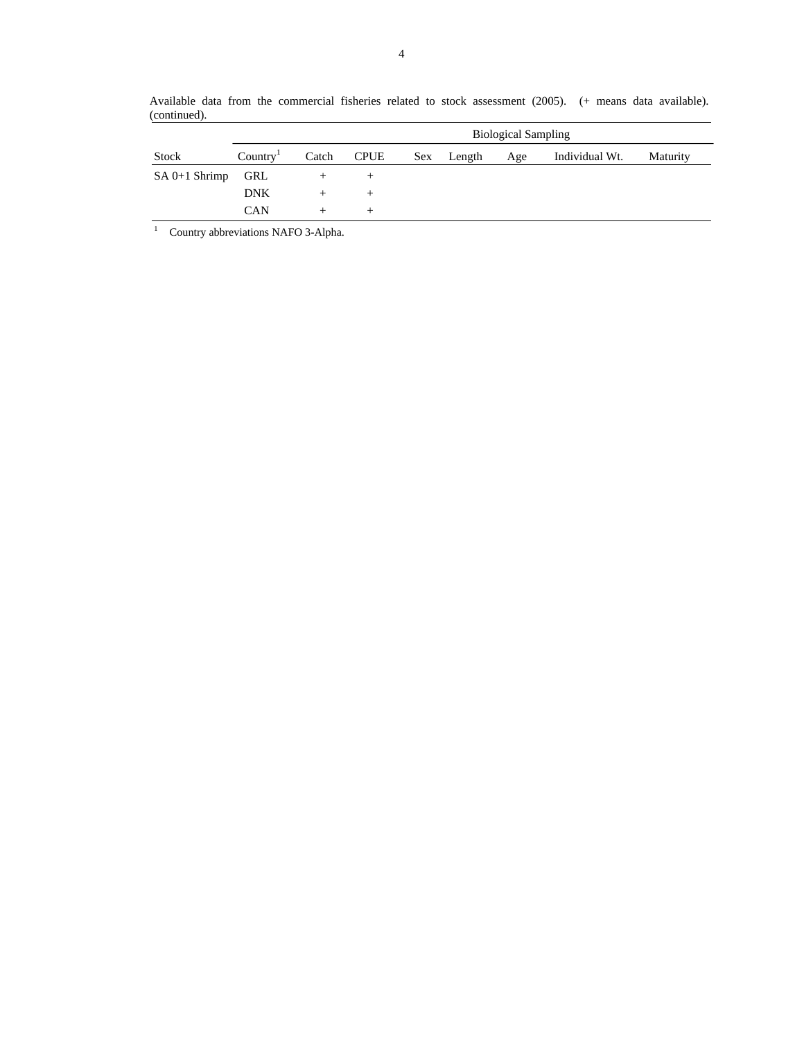|                 |                      |       | <b>Biological Sampling</b> |  |            |     |                |          |
|-----------------|----------------------|-------|----------------------------|--|------------|-----|----------------|----------|
| Stock           | Country <sup>T</sup> | Catch | CPUE                       |  | Sex Length | Age | Individual Wt. | Maturity |
| $SA$ 0+1 Shrimp | GRL                  |       |                            |  |            |     |                |          |
|                 | <b>DNK</b>           |       |                            |  |            |     |                |          |
|                 | <b>CAN</b>           |       |                            |  |            |     |                |          |

Available data from the commercial fisheries related to stock assessment (2005). (+ means data available). (continued).

<sup>1</sup> Country abbreviations NAFO 3-Alpha.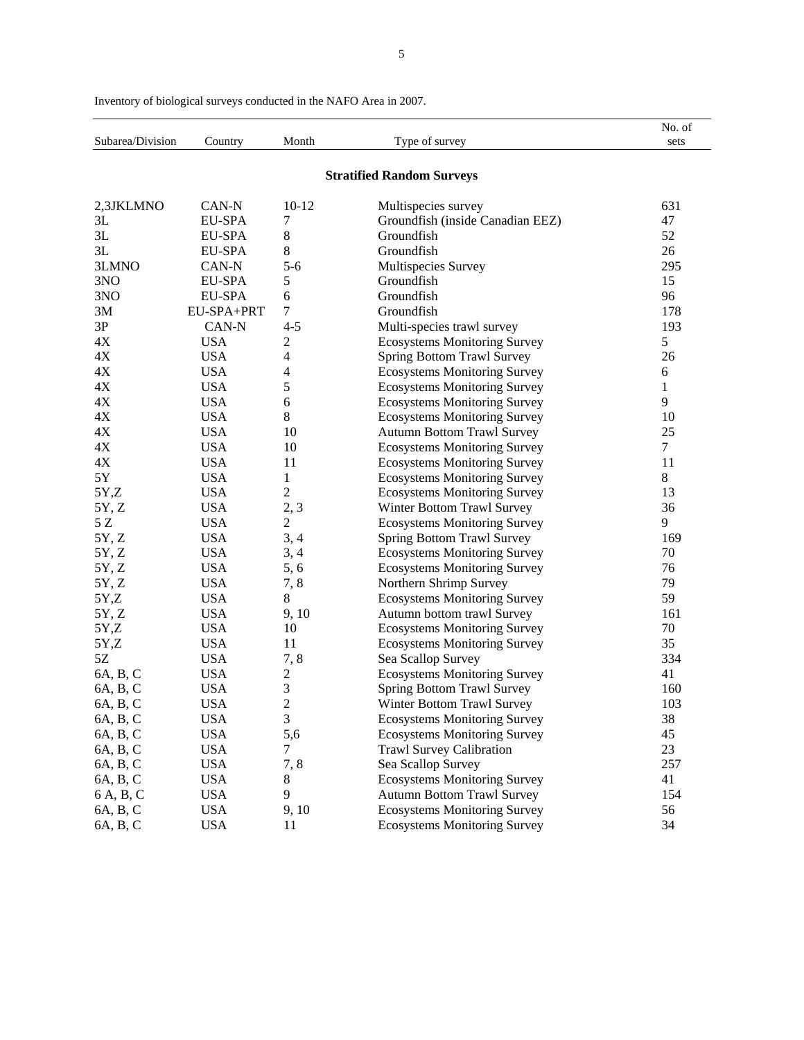|                  |               |                |                                     | No. of        |
|------------------|---------------|----------------|-------------------------------------|---------------|
| Subarea/Division | Country       | Month          | Type of survey                      | sets          |
|                  |               |                |                                     |               |
|                  |               |                | <b>Stratified Random Surveys</b>    |               |
| 2,3JKLMNO        | CAN-N         | $10 - 12$      | Multispecies survey                 | 631           |
| 3L               | EU-SPA        | 7              | Groundfish (inside Canadian EEZ)    | 47            |
| 3L               | EU-SPA        | 8              | Groundfish                          | 52            |
| 3L               | EU-SPA        | 8              | Groundfish                          | 26            |
| 3LMNO            | CAN-N         | $5 - 6$        | Multispecies Survey                 | 295           |
| 3NO              | EU-SPA        | 5              | Groundfish                          | 15            |
| 3NO              | <b>EU-SPA</b> | 6              | Groundfish                          | 96            |
| 3M               | EU-SPA+PRT    | 7              | Groundfish                          | 178           |
| 3P               | CAN-N         | $4 - 5$        | Multi-species trawl survey          | 193           |
| 4X               | <b>USA</b>    | 2              | <b>Ecosystems Monitoring Survey</b> | $\mathfrak s$ |
| 4X               | <b>USA</b>    | 4              | Spring Bottom Trawl Survey          | 26            |
| 4X               | <b>USA</b>    | 4              | <b>Ecosystems Monitoring Survey</b> | 6             |
| $4\mathrm{X}$    | <b>USA</b>    | 5              | <b>Ecosystems Monitoring Survey</b> | $\mathbf{1}$  |
| $4X$             | <b>USA</b>    | 6              | <b>Ecosystems Monitoring Survey</b> | 9             |
| $4X$             | <b>USA</b>    | 8              | <b>Ecosystems Monitoring Survey</b> | 10            |
| $4X$             | <b>USA</b>    | 10             | <b>Autumn Bottom Trawl Survey</b>   | 25            |
| $4X$             | <b>USA</b>    | 10             | <b>Ecosystems Monitoring Survey</b> | $\tau$        |
| $4X$             | <b>USA</b>    | 11             | <b>Ecosystems Monitoring Survey</b> | 11            |
| 5Y               | <b>USA</b>    | $\mathbf{1}$   | <b>Ecosystems Monitoring Survey</b> | 8             |
| 5Y,Z             | <b>USA</b>    | $\overline{c}$ | <b>Ecosystems Monitoring Survey</b> | 13            |
| 5Y, Z            | <b>USA</b>    | 2, 3           | Winter Bottom Trawl Survey          | 36            |
| 5Z               | <b>USA</b>    | $\mathbf{2}$   | <b>Ecosystems Monitoring Survey</b> | 9             |
| 5Y, Z            | <b>USA</b>    | 3, 4           | Spring Bottom Trawl Survey          | 169           |
| 5Y, Z            | <b>USA</b>    | 3, 4           | <b>Ecosystems Monitoring Survey</b> | 70            |
| 5Y, Z            | <b>USA</b>    | 5, 6           | <b>Ecosystems Monitoring Survey</b> | 76            |
| 5Y, Z            | <b>USA</b>    | 7,8            | Northern Shrimp Survey              | 79            |
| 5Y,Z             | <b>USA</b>    | 8              | <b>Ecosystems Monitoring Survey</b> | 59            |
| 5Y, Z            | <b>USA</b>    | 9, 10          | Autumn bottom trawl Survey          | 161           |
| 5Y,Z             | <b>USA</b>    | 10             | <b>Ecosystems Monitoring Survey</b> | 70            |
| 5Y,Z             | <b>USA</b>    | 11             | <b>Ecosystems Monitoring Survey</b> | 35            |
| 5Z               | <b>USA</b>    | 7,8            | Sea Scallop Survey                  | 334           |
| 6A, B, C         | <b>USA</b>    | $\overline{c}$ | <b>Ecosystems Monitoring Survey</b> | 41            |
| 6A, B, C         | <b>USA</b>    | 3              | <b>Spring Bottom Trawl Survey</b>   | 160           |
| 6A, B, C         | <b>USA</b>    | $\overline{2}$ | Winter Bottom Trawl Survey          | 103           |
| 6A, B, C         | <b>USA</b>    | 3              | <b>Ecosystems Monitoring Survey</b> | 38            |
| 6A, B, C         | <b>USA</b>    | 5,6            | <b>Ecosystems Monitoring Survey</b> | 45            |
| 6A, B, C         | <b>USA</b>    | 7              | <b>Trawl Survey Calibration</b>     | 23            |
| 6A, B, C         | <b>USA</b>    | 7,8            | Sea Scallop Survey                  | 257           |
| 6A, B, C         | <b>USA</b>    | 8              | <b>Ecosystems Monitoring Survey</b> | 41            |
| 6 A, B, C        | <b>USA</b>    | 9              | <b>Autumn Bottom Trawl Survey</b>   | 154           |
| 6A, B, C         | <b>USA</b>    | 9, 10          | <b>Ecosystems Monitoring Survey</b> | 56            |
| 6A, B, C         | <b>USA</b>    | 11             | <b>Ecosystems Monitoring Survey</b> | 34            |

Inventory of biological surveys conducted in the NAFO Area in 2007.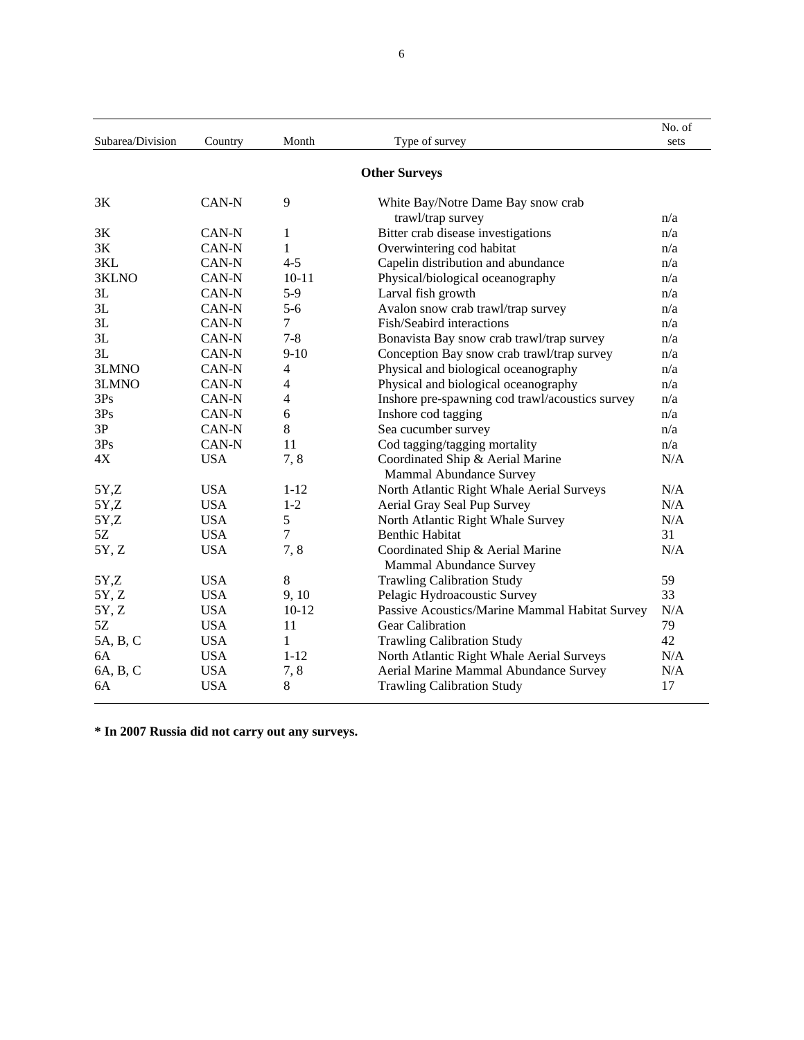| Subarea/Division | Country    | Month          | Type of survey                                              | No. of<br>sets |
|------------------|------------|----------------|-------------------------------------------------------------|----------------|
|                  |            |                | <b>Other Surveys</b>                                        |                |
| 3K               | CAN-N      | 9              | White Bay/Notre Dame Bay snow crab                          |                |
|                  |            |                | trawl/trap survey                                           | n/a            |
| 3K               | CAN-N      | $\mathbf{1}$   | Bitter crab disease investigations                          | n/a            |
| 3K               | CAN-N      | 1              | Overwintering cod habitat                                   | n/a            |
| 3KL              | CAN-N      | $4 - 5$        | Capelin distribution and abundance                          | n/a            |
| 3KLNO            | CAN-N      | $10 - 11$      | Physical/biological oceanography                            | n/a            |
| 3L               | CAN-N      | $5-9$          | Larval fish growth                                          | n/a            |
| 3L               | CAN-N      | $5 - 6$        | Avalon snow crab trawl/trap survey                          | n/a            |
| 3L               | CAN-N      | $\overline{7}$ | Fish/Seabird interactions                                   | n/a            |
| 3L               | CAN-N      | $7 - 8$        | Bonavista Bay snow crab trawl/trap survey                   | n/a            |
| 3L               | CAN-N      | $9 - 10$       | Conception Bay snow crab trawl/trap survey                  | n/a            |
| 3LMNO            | CAN-N      | $\overline{4}$ | Physical and biological oceanography                        | n/a            |
| 3LMNO            | CAN-N      | 4              | Physical and biological oceanography                        | n/a            |
| 3Ps              | CAN-N      | 4              | Inshore pre-spawning cod trawl/acoustics survey             | n/a            |
| 3Ps              | CAN-N      | 6              | Inshore cod tagging                                         | n/a            |
| 3P               | CAN-N      | 8              | Sea cucumber survey                                         | n/a            |
| 3Ps              | CAN-N      | 11             | Cod tagging/tagging mortality                               | n/a            |
| 4X               | <b>USA</b> | 7,8            | Coordinated Ship & Aerial Marine                            | N/A            |
|                  |            |                | Mammal Abundance Survey                                     |                |
| 5Y,Z             | <b>USA</b> | $1 - 12$       | North Atlantic Right Whale Aerial Surveys                   | N/A            |
| 5Y,Z             | <b>USA</b> | $1 - 2$        | Aerial Gray Seal Pup Survey                                 | N/A            |
| 5Y,Z             | <b>USA</b> | 5              | North Atlantic Right Whale Survey                           | N/A            |
| 5Z               | <b>USA</b> | 7              | <b>Benthic Habitat</b>                                      | 31             |
| 5Y, Z            | <b>USA</b> | 7,8            | Coordinated Ship & Aerial Marine<br>Mammal Abundance Survey | N/A            |
| 5Y,Z             | <b>USA</b> | 8              | <b>Trawling Calibration Study</b>                           | 59             |
| 5Y, Z            | <b>USA</b> | 9, 10          | Pelagic Hydroacoustic Survey                                | 33             |
| 5Y, Z            | <b>USA</b> | $10-12$        | Passive Acoustics/Marine Mammal Habitat Survey              | N/A            |
| 5Z               | <b>USA</b> | 11             | Gear Calibration                                            | 79             |
| 5A, B, C         | <b>USA</b> | 1              | <b>Trawling Calibration Study</b>                           | 42             |
| 6A               | <b>USA</b> | $1 - 12$       | North Atlantic Right Whale Aerial Surveys                   | N/A            |
| 6A, B, C         | <b>USA</b> | 7,8            | Aerial Marine Mammal Abundance Survey                       | N/A            |
| 6A               | <b>USA</b> | 8              | <b>Trawling Calibration Study</b>                           | 17             |

**\* In 2007 Russia did not carry out any surveys.**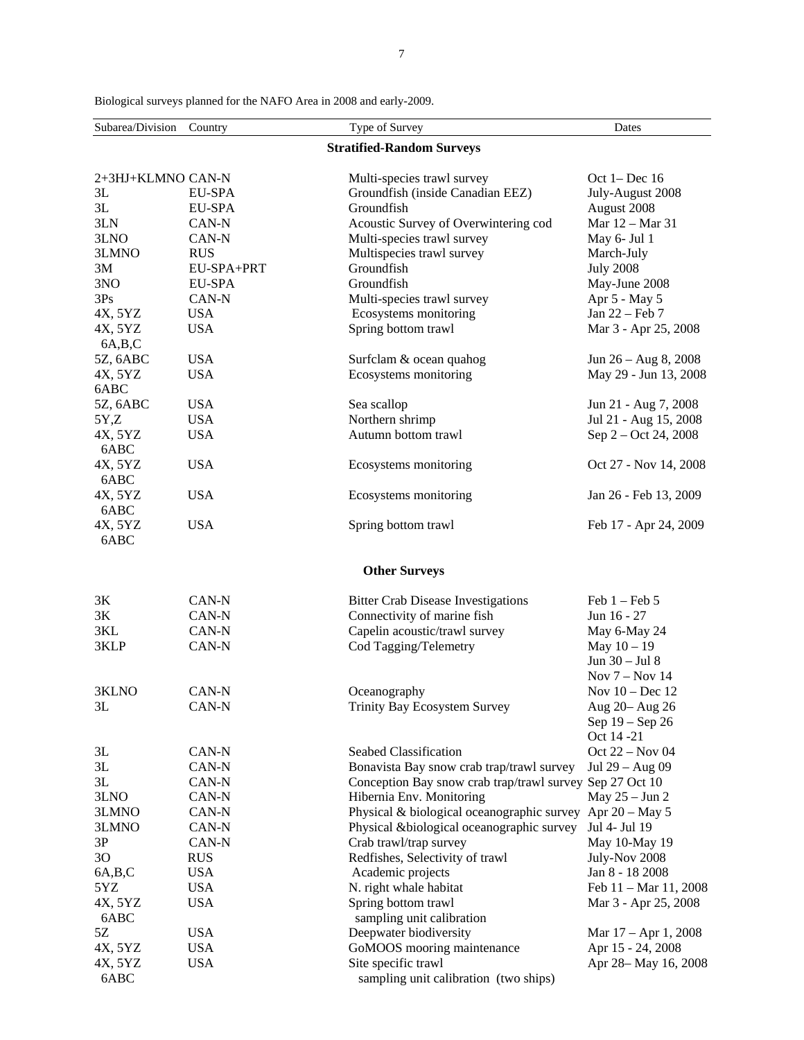| Subarea/Division  | Country       | Type of Survey                                              | Dates                  |
|-------------------|---------------|-------------------------------------------------------------|------------------------|
|                   |               | <b>Stratified-Random Surveys</b>                            |                        |
|                   |               |                                                             |                        |
| 2+3HJ+KLMNO CAN-N |               | Multi-species trawl survey                                  | Oct $1 - Dec 16$       |
| 3L                | EU-SPA        | Groundfish (inside Canadian EEZ)                            | July-August 2008       |
| 3L                | <b>EU-SPA</b> | Groundfish                                                  | August 2008            |
| 3LN               | CAN-N         | Acoustic Survey of Overwintering cod                        | Mar 12 - Mar 31        |
| 3LNO              | CAN-N         | Multi-species trawl survey                                  | May 6- Jul 1           |
| 3LMNO             | <b>RUS</b>    | Multispecies trawl survey                                   | March-July             |
| 3M                | EU-SPA+PRT    | Groundfish                                                  | <b>July 2008</b>       |
| 3NO               | <b>EU-SPA</b> | Groundfish                                                  | May-June 2008          |
| 3Ps               | CAN-N         | Multi-species trawl survey                                  | Apr 5 - May 5          |
| 4X, 5YZ           | <b>USA</b>    | Ecosystems monitoring                                       | Jan 22 - Feb 7         |
| 4X, 5YZ           | <b>USA</b>    | Spring bottom trawl                                         | Mar 3 - Apr 25, 2008   |
| 6A,B,C            |               |                                                             |                        |
| 5Z, 6ABC          | <b>USA</b>    | Surfclam & ocean quahog                                     | Jun $26 - Aug 8, 2008$ |
| 4X, 5YZ           | <b>USA</b>    | Ecosystems monitoring                                       | May 29 - Jun 13, 2008  |
| 6ABC              |               |                                                             |                        |
| 5Z, 6ABC          | <b>USA</b>    | Sea scallop                                                 | Jun 21 - Aug 7, 2008   |
| 5Y,Z              | <b>USA</b>    | Northern shrimp                                             | Jul 21 - Aug 15, 2008  |
| 4X, 5YZ           | <b>USA</b>    | Autumn bottom trawl                                         | Sep 2 - Oct 24, 2008   |
| 6ABC              |               |                                                             |                        |
| 4X, 5YZ           | <b>USA</b>    | Ecosystems monitoring                                       | Oct 27 - Nov 14, 2008  |
| 6ABC              |               |                                                             |                        |
| 4X, 5YZ           | <b>USA</b>    | Ecosystems monitoring                                       | Jan 26 - Feb 13, 2009  |
| 6ABC              |               |                                                             |                        |
| 4X, 5YZ           | <b>USA</b>    | Spring bottom trawl                                         | Feb 17 - Apr 24, 2009  |
| 6ABC              |               |                                                             |                        |
|                   |               |                                                             |                        |
|                   |               | <b>Other Surveys</b>                                        |                        |
| 3K                | CAN-N         | <b>Bitter Crab Disease Investigations</b>                   | Feb $1 -$ Feb $5$      |
| 3K                | CAN-N         | Connectivity of marine fish                                 | Jun 16 - 27            |
| 3KL               | CAN-N         | Capelin acoustic/trawl survey                               | May 6-May 24           |
| 3KLP              | CAN-N         | Cod Tagging/Telemetry                                       | May $10 - 19$          |
|                   |               |                                                             | Jun 30 - Jul 8         |
|                   |               |                                                             | Nov $7 -$ Nov 14       |
| 3KLNO             | CAN-N         | Oceanography                                                | Nov 10 - Dec 12        |
| 3L                | CAN-N         | Trinity Bay Ecosystem Survey                                | Aug 20- Aug 26         |
|                   |               |                                                             | Sep 19 - Sep 26        |
|                   |               |                                                             | Oct 14 -21             |
| 3L                | CAN-N         | Seabed Classification                                       | Oct 22 - Nov 04        |
| 3L                | CAN-N         | Bonavista Bay snow crab trap/trawl survey                   | Jul 29 - Aug 09        |
| 3L                | CAN-N         | Conception Bay snow crab trap/trawl survey Sep 27 Oct 10    |                        |
| 3LNO              | CAN-N         | Hibernia Env. Monitoring                                    | May $25 - Jun$ 2       |
| 3LMNO             | CAN-N         | Physical & biological oceanographic survey Apr $20 - May 5$ |                        |
| 3LMNO             | CAN-N         | Physical &biological oceanographic survey                   | Jul 4- Jul 19          |
| $3P$              | CAN-N         | Crab trawl/trap survey                                      | May 10-May 19          |
| 3O                | <b>RUS</b>    | Redfishes, Selectivity of trawl                             | July-Nov 2008          |
| 6A,B,C            | <b>USA</b>    | Academic projects                                           | Jan 8 - 18 2008        |
| 5YZ               | <b>USA</b>    | N. right whale habitat                                      | Feb 11 - Mar 11, 2008  |
| 4X, 5YZ           | <b>USA</b>    | Spring bottom trawl                                         | Mar 3 - Apr 25, 2008   |
| 6ABC              |               | sampling unit calibration                                   |                        |
| 5Z                | <b>USA</b>    | Deepwater biodiversity                                      | Mar $17 -$ Apr 1, 2008 |
| 4X, 5YZ           | <b>USA</b>    | GoMOOS mooring maintenance                                  | Apr 15 - 24, 2008      |
| 4X, 5YZ           | <b>USA</b>    | Site specific trawl                                         | Apr 28-May 16, 2008    |
| 6ABC              |               | sampling unit calibration (two ships)                       |                        |
|                   |               |                                                             |                        |

Biological surveys planned for the NAFO Area in 2008 and early-2009.